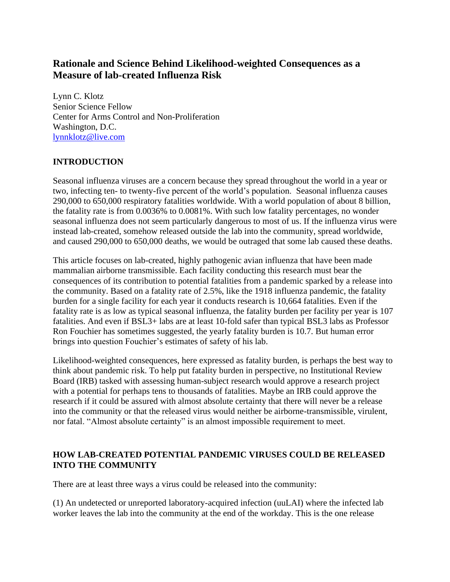# **Rationale and Science Behind Likelihood-weighted Consequences as a Measure of lab-created Influenza Risk**

Lynn C. Klotz Senior Science Fellow Center for Arms Control and Non-Proliferation Washington, D.C. [lynnklotz@live.com](mailto:lynnklotz@live.com)

## **INTRODUCTION**

Seasonal influenza viruses are a concern because they spread throughout the world in a year or two, infecting ten- to twenty-five percent of the world's population. Seasonal influenza causes 290,000 to 650,000 respiratory fatalities worldwide. With a world population of about 8 billion, the fatality rate is from 0.0036% to 0.0081%. With such low fatality percentages, no wonder seasonal influenza does not seem particularly dangerous to most of us. If the influenza virus were instead lab-created, somehow released outside the lab into the community, spread worldwide, and caused 290,000 to 650,000 deaths, we would be outraged that some lab caused these deaths.

This article focuses on lab-created, highly pathogenic avian influenza that have been made mammalian airborne transmissible. Each facility conducting this research must bear the consequences of its contribution to potential fatalities from a pandemic sparked by a release into the community. Based on a fatality rate of 2.5%, like the 1918 influenza pandemic, the fatality burden for a single facility for each year it conducts research is 10,664 fatalities. Even if the fatality rate is as low as typical seasonal influenza, the fatality burden per facility per year is 107 fatalities. And even if BSL3+ labs are at least 10-fold safer than typical BSL3 labs as Professor Ron Fouchier has sometimes suggested, the yearly fatality burden is 10.7. But human error brings into question Fouchier's estimates of safety of his lab.

Likelihood-weighted consequences, here expressed as fatality burden, is perhaps the best way to think about pandemic risk. To help put fatality burden in perspective, no Institutional Review Board (IRB) tasked with assessing human-subject research would approve a research project with a potential for perhaps tens to thousands of fatalities. Maybe an IRB could approve the research if it could be assured with almost absolute certainty that there will never be a release into the community or that the released virus would neither be airborne-transmissible, virulent, nor fatal. "Almost absolute certainty" is an almost impossible requirement to meet.

#### **HOW LAB-CREATED POTENTIAL PANDEMIC VIRUSES COULD BE RELEASED INTO THE COMMUNITY**

There are at least three ways a virus could be released into the community:

(1) An undetected or unreported laboratory-acquired infection (uuLAI) where the infected lab worker leaves the lab into the community at the end of the workday. This is the one release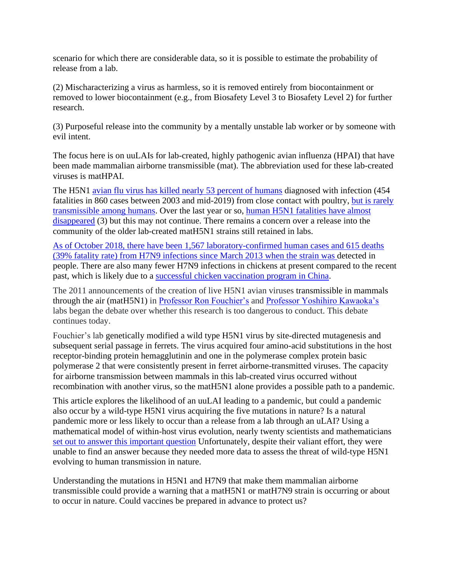scenario for which there are considerable data, so it is possible to estimate the probability of release from a lab.

(2) Mischaracterizing a virus as harmless, so it is removed entirely from biocontainment or removed to lower biocontainment (e.g., from Biosafety Level 3 to Biosafety Level 2) for further research.

(3) Purposeful release into the community by a mentally unstable lab worker or by someone with evil intent.

The focus here is on uuLAIs for lab-created, highly pathogenic avian influenza (HPAI) that have been made mammalian airborne transmissible (mat). The abbreviation used for these lab-created viruses is matHPAI.

The H5N1 [avian flu virus has killed nearly 53 percent of humans](https://www.who.int/influenza/human_animal_interface/2019_04_09_tableH5N1.pdf?ua=1) diagnosed with infection (454) fatalities in 860 cases between 2003 and mid-2019) from close contact with poultry, [but is rarely](https://www.cdc.gov/flu/avianflu/avian-in-humans.htm)  [transmissible among humans.](https://www.cdc.gov/flu/avianflu/avian-in-humans.htm) Over the last year or so, [human H5N1 fatalities have almost](https://www.statnews.com/2019/02/13/bird-flu-mutations-outlook/?utm_source=STAT+Newsletters&utm_campaign=6c7a2ed2ab-MR_COPY_08&utm_medium=email&utm_term=0_8cab1d7961-6c7a2ed2ab-149590313)  [disappeared](https://www.statnews.com/2019/02/13/bird-flu-mutations-outlook/?utm_source=STAT+Newsletters&utm_campaign=6c7a2ed2ab-MR_COPY_08&utm_medium=email&utm_term=0_8cab1d7961-6c7a2ed2ab-149590313) (3) but this may not continue. There remains a concern over a release into the community of the older lab-created matH5N1 strains still retained in labs.

As of October 2018, [there have been 1,567 laboratory-confirmed human cases and 615 deaths](https://www.healio.com/infectious-disease/influenza/news/print/infectious-disease-news/%7B662fd76d-fa55-4345-9064-78f162be5e85%7D/human-cases-of-h7n9-plummet-in-china-after-aggressive-vaccination-of-poultry) (39% fatality rate) from H7N9 infections since March 2013 when the strain was detected in people. There are also many fewer H7N9 infections in chickens at present compared to the recent past, which is likely due to a [successful chicken vaccination program in China.](https://www.healio.com/news/infectious-disease/20181008/human-cases-of-h7n9-plummet-in-china-after-aggressive-vaccination-of-poultry)

The 2011 announcements of the creation of live H5N1 avian viruses transmissible in mammals through the air (matH5N1) in [Professor Ron Fouchier's](https://science.sciencemag.org/content/336/6088/1534.full) and [Professor Yoshihiro Kawaoka's](https://www.nature.com/articles/nature10831/)  labs began the debate over whether this research is too dangerous to conduct. This debate continues today.

Fouchier's lab genetically modified a wild type H5N1 virus by site-directed mutagenesis and subsequent serial passage in ferrets. The virus acquired four amino-acid substitutions in the host receptor-binding protein hemagglutinin and one in the polymerase complex protein basic polymerase 2 that were consistently present in ferret airborne-transmitted viruses. The capacity for airborne transmission between mammals in this lab-created virus occurred without recombination with another virus, so the matH5N1 alone provides a possible path to a pandemic.

This article explores the likelihood of an uuLAI leading to a pandemic, but could a pandemic also occur by a wild-type H5N1 virus acquiring the five mutations in nature? Is a natural pandemic more or less likely to occur than a release from a lab through an uLAI? Using a mathematical model of within-host virus evolution, nearly twenty scientists and mathematicians [set out to answer this important question](https://science.sciencemag.org/content/336/6088/1541.full) Unfortunately, despite their valiant effort, they were unable to find an answer because they needed more data to assess the threat of wild-type H5N1 evolving to human transmission in nature.

Understanding the mutations in H5N1 and H7N9 that make them mammalian airborne transmissible could provide a warning that a matH5N1 or matH7N9 strain is occurring or about to occur in nature. Could vaccines be prepared in advance to protect us?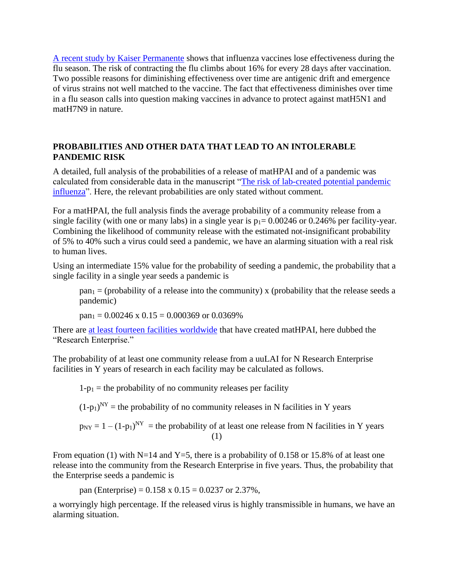[A recent study by Kaiser Permanente](https://www.cidrap.umn.edu/news-perspective/2018/09/study-flu-vaccine-protection-starts-wane-within-weeks) shows that influenza vaccines lose effectiveness during the flu season. The risk of contracting the flu climbs about 16% for every 28 days after vaccination. Two possible reasons for diminishing effectiveness over time are antigenic drift and emergence of virus strains not well matched to the vaccine. The fact that effectiveness diminishes over time in a flu season calls into question making vaccines in advance to protect against matH5N1 and matH7N9 in nature.

### **PROBABILITIES AND OTHER DATA THAT LEAD TO AN INTOLERABLE PANDEMIC RISK**

A detailed, full analysis of the probabilities of a release of matHPAI and of a pandemic was calculated from considerable data in the manuscript ["The risk of lab-created potential pandemic](https://armscontrolcenter.org/wp-content/uploads/2020/03/Quantifying-the-risk-9-17-Supplementary-material-at-end.pdf)  [influenza"](https://armscontrolcenter.org/wp-content/uploads/2020/03/Quantifying-the-risk-9-17-Supplementary-material-at-end.pdf). Here, the relevant probabilities are only stated without comment.

For a matHPAI, the full analysis finds the average probability of a community release from a single facility (with one or many labs) in a single year is  $p_1 = 0.00246$  or 0.246% per facility-year. Combining the likelihood of community release with the estimated not-insignificant probability of 5% to 40% such a virus could seed a pandemic, we have an alarming situation with a real risk to human lives.

Using an intermediate 15% value for the probability of seeding a pandemic, the probability that a single facility in a single year seeds a pandemic is

 $pan_1 = (probability of a release into the community)$  x (probability that the release seeds a pandemic)

 $pan_1 = 0.00246 \times 0.15 = 0.000369$  or 0.0369%

There are [at least fourteen facilities worldwide](https://armscontrolcenter.org/wp-content/uploads/2019/03/Minimum-Estimate-of-Number-of-Labs-Influenza-PPP-Research-Enterprise.pdf) that have created matHPAI, here dubbed the "Research Enterprise."

The probability of at least one community release from a uuLAI for N Research Enterprise facilities in Y years of research in each facility may be calculated as follows.

 $1-p_1$  = the probability of no community releases per facility

 $(1-p_1)^{NY}$  = the probability of no community releases in N facilities in Y years

 $p_{NY} = 1 - (1-p_1)^{NY}$  = the probability of at least one release from N facilities in Y years (1)

From equation (1) with N=14 and Y=5, there is a probability of 0.158 or 15.8% of at least one release into the community from the Research Enterprise in five years. Thus, the probability that the Enterprise seeds a pandemic is

pan (Enterprise) =  $0.158 \times 0.15 = 0.0237$  or  $2.37\%$ ,

a worryingly high percentage. If the released virus is highly transmissible in humans, we have an alarming situation.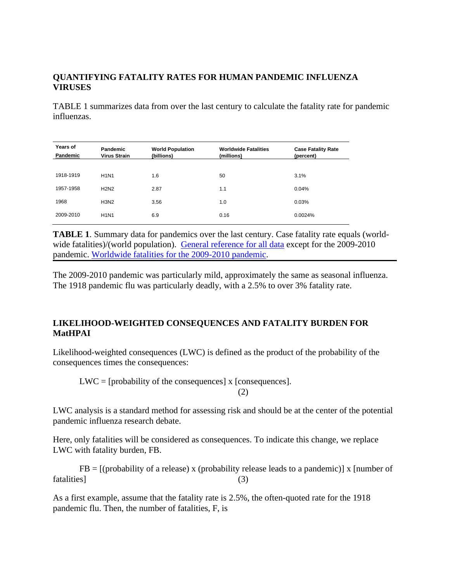## **QUANTIFYING FATALITY RATES FOR HUMAN PANDEMIC INFLUENZA VIRUSES**

TABLE 1 summarizes data from over the last century to calculate the fatality rate for pandemic influenzas.

| Years of<br>Pandemic | Pandemic<br><b>Virus Strain</b> | <b>World Population</b><br>(billions) | <b>Worldwide Fatalities</b><br>(millions) | <b>Case Fatality Rate</b><br>(percent) |
|----------------------|---------------------------------|---------------------------------------|-------------------------------------------|----------------------------------------|
| 1918-1919            | <b>H1N1</b>                     | 1.6                                   | 50                                        | 3.1%                                   |
| 1957-1958            | <b>H2N2</b>                     | 2.87                                  | 1.1                                       | 0.04%                                  |
| 1968                 | <b>H3N2</b>                     | 3.56                                  | 1.0                                       | 0.03%                                  |
| 2009-2010            | <b>H1N1</b>                     | 6.9                                   | 0.16                                      | 0.0024%                                |

**TABLE 1**. Summary data for pandemics over the last century. Case fatality rate equals (world-wide fatalities)/(world population). [General reference for all data](https://www.cdc.gov/flu/pandemic-resources/basics/past-pandemics.html?web=1&wdLOR=c6E2D67C3-968A-435F-88F2-A7CC51C0EF49) except for the 2009-2010 pandemic. [Worldwide fatalities for the 2009-2010 pandemic.](https://www.cidrap.umn.edu/news-perspective/2013/11/study-estimates-2009-pandemic-deaths-203000)

The 2009-2010 pandemic was particularly mild, approximately the same as seasonal influenza. The 1918 pandemic flu was particularly deadly, with a 2.5% to over 3% fatality rate.

#### **LIKELIHOOD-WEIGHTED CONSEQUENCES AND FATALITY BURDEN FOR MatHPAI**

Likelihood-weighted consequences (LWC) is defined as the product of the probability of the consequences times the consequences:

 $LWC = [probability of the consequences] x [consequences].$ 

LWC analysis is a standard method for assessing risk and should be at the center of the potential pandemic influenza research debate.

(2)

Here, only fatalities will be considered as consequences. To indicate this change, we replace LWC with fatality burden, FB.

 $FB = [(probability of a release) x (probability release leads to a pandemic)] x [number of$ fatalities] (3)

As a first example, assume that the fatality rate is 2.5%, the often-quoted rate for the 1918 pandemic flu. Then, the number of fatalities, F, is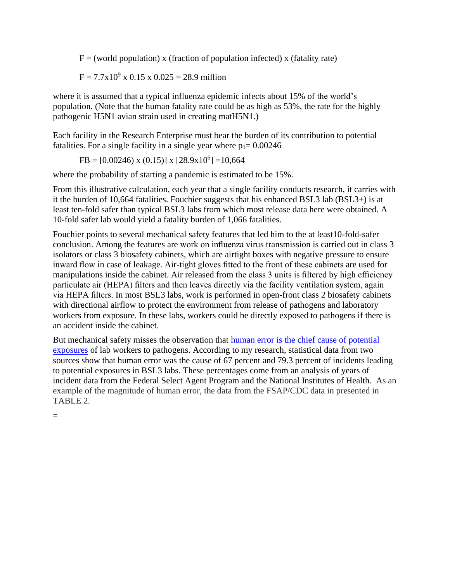$F =$  (world population) x (fraction of population infected) x (fatality rate)

$$
F = 7.7x10^9
$$
 x 0.15 x 0.025 = 28.9 million

where it is assumed that a typical influenza epidemic infects about 15% of the world's population. (Note that the human fatality rate could be as high as 53%, the rate for the highly pathogenic H5N1 avian strain used in creating matH5N1.)

Each facility in the Research Enterprise must bear the burden of its contribution to potential fatalities. For a single facility in a single year where  $p_1 = 0.00246$ 

$$
FB = [0.00246) \times (0.15)] \times [28.9 \times 10^6] = 10,664
$$

where the probability of starting a pandemic is estimated to be 15%.

From this illustrative calculation, each year that a single facility conducts research, it carries with it the burden of 10,664 fatalities. Fouchier suggests that his enhanced BSL3 lab (BSL3+) is at least ten-fold safer than typical BSL3 labs from which most release data here were obtained. A 10-fold safer lab would yield a fatality burden of 1,066 fatalities.

Fouchier points to several mechanical safety features that led him to the at least10-fold-safer conclusion. Among the features are work on influenza virus transmission is carried out in class 3 isolators or class 3 biosafety cabinets, which are airtight boxes with negative pressure to ensure inward flow in case of leakage. Air-tight gloves fitted to the front of these cabinets are used for manipulations inside the cabinet. Air released from the class 3 units is filtered by high efficiency particulate air (HEPA) filters and then leaves directly via the facility ventilation system, again via HEPA filters. In most BSL3 labs, work is performed in open-front class 2 biosafety cabinets with directional airflow to protect the environment from release of pathogens and laboratory workers from exposure. In these labs, workers could be directly exposed to pathogens if there is an accident inside the cabinet.

But mechanical safety misses the observation that [human error is the chief cause of potential](https://thebulletin.org/2019/02/human-error-in-high-biocontainment-labs-a-likely-pandemic-threat/)  [exposures](https://thebulletin.org/2019/02/human-error-in-high-biocontainment-labs-a-likely-pandemic-threat/) of lab workers to pathogens. According to my research, statistical data from two sources show that human error was the cause of 67 percent and 79.3 percent of incidents leading to potential exposures in BSL3 labs. These percentages come from an analysis of years of incident data from the Federal Select Agent Program and the National Institutes of Health. As an example of the magnitude of human error, the data from the FSAP/CDC data in presented in TABLE 2.

=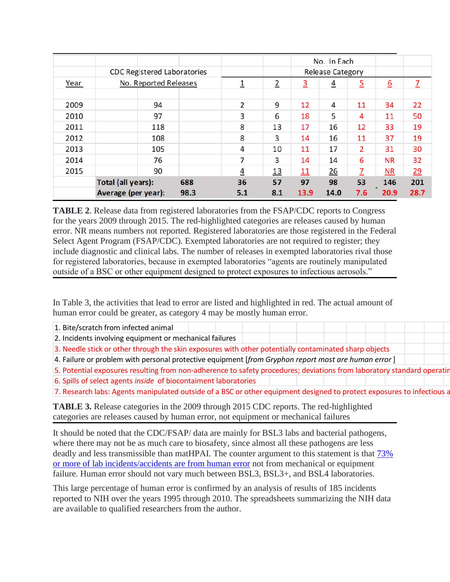|      |                                    |     |                |                |                         | No. In Each    |      |                 |                        |      |
|------|------------------------------------|-----|----------------|----------------|-------------------------|----------------|------|-----------------|------------------------|------|
|      | <b>CDC Registered Laboratories</b> |     |                |                | <b>Release Category</b> |                |      |                 |                        |      |
| Year | No. Reported Releases              |     | $\overline{1}$ | $\overline{2}$ | $\overline{3}$          | $\overline{4}$ | 5    | $\underline{6}$ | Z                      |      |
|      |                                    |     |                |                |                         |                |      |                 |                        |      |
| 2009 |                                    | 94  |                | 2              | 9                       | 12             | 4    | 11              | 34                     | 22   |
| 2010 |                                    | 97  |                | 3              | 6                       | 18             | 5    | 4               | 11                     | 50   |
| 2011 |                                    | 118 |                | 8              | 13                      | 17             | 16   | 12              | 33                     | 19   |
| 2012 |                                    | 108 |                | 8              | 3                       | 14             | 16   | 11              | 37                     | 19   |
| 2013 |                                    | 105 |                | 4              | 10                      | 11             | 17   | 2               | 31                     | 30   |
| 2014 |                                    | 76  |                | 7              | 3                       | 14             | 14   | 6               | <b>NR</b>              | 32   |
| 2015 |                                    | 90  |                | 4              | <u>13</u>               | 11             | 26   | 7               | $\overline{\text{NR}}$ | 29   |
|      | Total (all years):                 |     | 688            | 36             | 57                      | 97             | 98   | 53              | 146                    | 201  |
|      | Average (per year):                |     | 98.3           | 5.1            | 8.1                     | 13.9           | 14.0 | 7.6             | 20.9                   | 28.7 |

**TABLE 2**. Release data from registered laboratories from the FSAP/CDC reports to Congress for the years 2009 through 2015. The red-highlighted categories are releases caused by human error. NR means numbers not reported. Registered laboratories are those registered in the Federal Select Agent Program (FSAP/CDC). Exempted laboratories are not required to register; they include diagnostic and clinical labs. The number of releases in exempted laboratories rival those for registered laboratories, because in exempted laboratories "agents are routinely manipulated outside of a BSC or other equipment designed to protect exposures to infectious aerosols."

In Table 3, the activities that lead to error are listed and highlighted in red. The actual amount of human error could be greater, as category 4 may be mostly human error.

| 1. Bite/scratch from infected animal                                                                                   |  |  |  |  |  |  |  |
|------------------------------------------------------------------------------------------------------------------------|--|--|--|--|--|--|--|
| 2. Incidents involving equipment or mechanical failures                                                                |  |  |  |  |  |  |  |
| 3. Needle stick or other through the skin exposures with other potentially contaminated sharp objects                  |  |  |  |  |  |  |  |
| 4. Failure or problem with personal protective equipment [from Gryphon report most are human error]                    |  |  |  |  |  |  |  |
| 5. Potential exposures resulting from non-adherence to safety procedures; deviations from laboratory standard operatin |  |  |  |  |  |  |  |
| 6. Spills of select agents inside of biocontaiment laboratories                                                        |  |  |  |  |  |  |  |
| 7. Research labs: Agents manipulated outside of a BSC or other equipment designed to protect exposures to infectious a |  |  |  |  |  |  |  |
|                                                                                                                        |  |  |  |  |  |  |  |

**TABLE 3.** Release categories in the 2009 through 2015 CDC reports. The red-highlighted categories are releases caused by human error, not equipment or mechanical failures

It should be noted that the CDC/FSAP/ data are mainly for BSL3 labs and bacterial pathogens, where there may not be as much care to biosafety, since almost all these pathogens are less deadly and less transmissible than matHPAI. The counter argument to this statement is that  $73\%$ [or more of lab incidents/accidents are from human error](https://thebulletin.org/2019/02/human-error-in-high-biocontainment-labs-a-likely-pandemic-threat/) not from mechanical or equipment failure. Human error should not vary much between BSL3, BSL3+, and BSL4 laboratories.

This large percentage of human error is confirmed by an analysis of results of 185 incidents reported to NIH over the years 1995 through 2010. The spreadsheets summarizing the NIH data are available to qualified researchers from the author.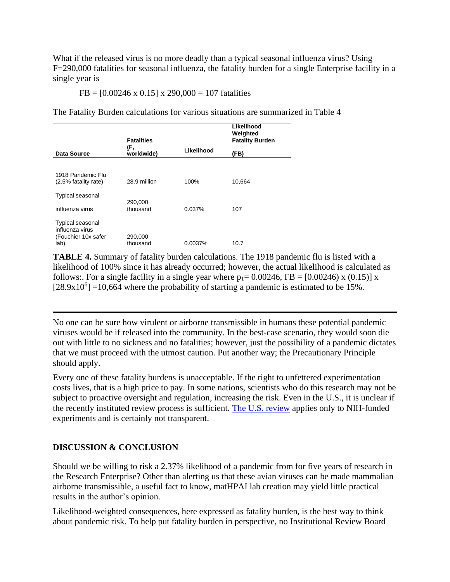What if the released virus is no more deadly than a typical seasonal influenza virus? Using F=290,000 fatalities for seasonal influenza, the fatality burden for a single Enterprise facility in a single year is

 $FB = [0.00246 \times 0.15] \times 290,000 = 107$  fatalities

The Fatality Burden calculations for various situations are summarized in Table 4

|                                           | <b>Fatalities</b>   |            | Likelihood<br>Weighted<br><b>Fatality Burden</b> |  |
|-------------------------------------------|---------------------|------------|--------------------------------------------------|--|
| Data Source                               | (F,<br>worldwide)   | Likelihood | (FB)                                             |  |
|                                           |                     |            |                                                  |  |
| 1918 Pandemic Flu<br>(2.5% fatality rate) | 28.9 million        | 100%       | 10,664                                           |  |
| <b>Typical seasonal</b>                   |                     |            |                                                  |  |
| influenza virus                           | 290,000<br>thousand | 0.037%     | 107                                              |  |
| <b>Typical seasonal</b>                   |                     |            |                                                  |  |
| influenza virus<br>(Fouchier 10x safer    | 290,000             |            |                                                  |  |
| lab)                                      | thousand            | 0.0037%    | 10.7                                             |  |

**TABLE 4.** Summary of fatality burden calculations. The 1918 pandemic flu is listed with a likelihood of 100% since it has already occurred; however, the actual likelihood is calculated as follows:. For a single facility in a single year where  $p_1 = 0.00246$ , FB = [0.00246) x (0.15)] x  $[28.9x10<sup>6</sup>] = 10,664$  where the probability of starting a pandemic is estimated to be 15%.

No one can be sure how virulent or airborne transmissible in humans these potential pandemic viruses would be if released into the community. In the best-case scenario, they would soon die out with little to no sickness and no fatalities; however, just the possibility of a pandemic dictates that we must proceed with the utmost caution. Put another way; the Precautionary Principle should apply.

Every one of these fatality burdens is unacceptable. If the right to unfettered experimentation costs lives, that is a high price to pay. In some nations, scientists who do this research may not be subject to proactive oversight and regulation, increasing the risk. Even in the U.S., it is unclear if the recently instituted review process is sufficient. [The U.S. review](https://thebulletin.org/2018/02/new-pathogen-research-rules-gain-of-function-loss-of-clarity/) applies only to NIH-funded experiments and is certainly not transparent.

#### **DISCUSSION & CONCLUSION**

Should we be willing to risk a 2.37% likelihood of a pandemic from for five years of research in the Research Enterprise? Other than alerting us that these avian viruses can be made mammalian airborne transmissible, a useful fact to know, matHPAI lab creation may yield little practical results in the author's opinion.

Likelihood-weighted consequences, here expressed as fatality burden, is the best way to think about pandemic risk. To help put fatality burden in perspective, no Institutional Review Board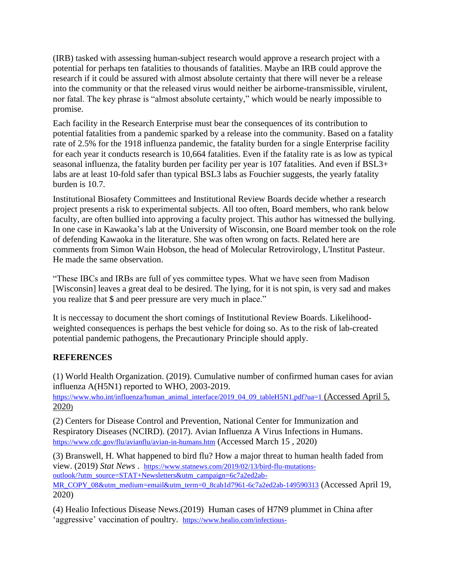(IRB) tasked with assessing human-subject research would approve a research project with a potential for perhaps ten fatalities to thousands of fatalities. Maybe an IRB could approve the research if it could be assured with almost absolute certainty that there will never be a release into the community or that the released virus would neither be airborne-transmissible, virulent, nor fatal. The key phrase is "almost absolute certainty," which would be nearly impossible to promise.

Each facility in the Research Enterprise must bear the consequences of its contribution to potential fatalities from a pandemic sparked by a release into the community. Based on a fatality rate of 2.5% for the 1918 influenza pandemic, the fatality burden for a single Enterprise facility for each year it conducts research is 10,664 fatalities. Even if the fatality rate is as low as typical seasonal influenza, the fatality burden per facility per year is 107 fatalities. And even if BSL3+ labs are at least 10-fold safer than typical BSL3 labs as Fouchier suggests, the yearly fatality burden is 10.7.

Institutional Biosafety Committees and Institutional Review Boards decide whether a research project presents a risk to experimental subjects. All too often, Board members, who rank below faculty, are often bullied into approving a faculty project. This author has witnessed the bullying. In one case in Kawaoka's lab at the University of Wisconsin, one Board member took on the role of defending Kawaoka in the literature. She was often wrong on facts. Related here are comments from Simon Wain Hobson, the head of Molecular Retrovirology, L'Institut Pasteur. He made the same observation.

"These IBCs and IRBs are full of yes committee types. What we have seen from Madison [Wisconsin] leaves a great deal to be desired. The lying, for it is not spin, is very sad and makes you realize that \$ and peer pressure are very much in place."

It is neccessay to document the short comings of Institutional Review Boards. Likelihoodweighted consequences is perhaps the best vehicle for doing so. As to the risk of lab-created potential pandemic pathogens, the Precautionary Principle should apply.

## **REFERENCES**

(1) World Health Organization. (2019). Cumulative number of confirmed human cases for avian influenza A(H5N1) reported to WHO, 2003-2019.

[https://www.who.int/influenza/human\\_animal\\_interface/2019\\_04\\_09\\_tableH5N1.pdf?ua=1](https://www.who.int/influenza/human_animal_interface/2019_04_09_tableH5N1.pdf?ua=1) (Accessed April 5, 2020)

(2) Centers for Disease Control and Prevention, National Center for Immunization and Respiratory Diseases (NCIRD). (2017). Avian Influenza A Virus Infections in Humans. <https://www.cdc.gov/flu/avianflu/avian-in-humans.htm> (Accessed March 15 , 2020)

(3) Branswell, H. What happened to bird flu? How a major threat to human health faded from view. (2019) *Stat News* . [https://www.statnews.com/2019/02/13/bird-flu-mutations](https://www.statnews.com/2019/02/13/bird-flu-mutations-outlook/?utm_source=STAT+Newsletters&utm_campaign=6c7a2ed2ab-MR_COPY_08&utm_medium=email&utm_term=0_8cab1d7961-6c7a2ed2ab-149590313)[outlook/?utm\\_source=STAT+Newsletters&utm\\_campaign=6c7a2ed2ab-](https://www.statnews.com/2019/02/13/bird-flu-mutations-outlook/?utm_source=STAT+Newsletters&utm_campaign=6c7a2ed2ab-MR_COPY_08&utm_medium=email&utm_term=0_8cab1d7961-6c7a2ed2ab-149590313)[MR\\_COPY\\_08&utm\\_medium=email&utm\\_term=0\\_8cab1d7961-6c7a2ed2ab-149590313](https://www.statnews.com/2019/02/13/bird-flu-mutations-outlook/?utm_source=STAT+Newsletters&utm_campaign=6c7a2ed2ab-MR_COPY_08&utm_medium=email&utm_term=0_8cab1d7961-6c7a2ed2ab-149590313) (Accessed April 19, 2020)

(4) Healio Infectious Disease News.(2019) Human cases of H7N9 plummet in China after 'aggressive' vaccination of poultry. [https://www.healio.com/infectious-](https://www.healio.com/infectious-disease/influenza/news/print/infectious-disease-news/%7B662fd76d-fa55-4345-9064-78f162be5e85%7D/human-cases-of-h7n9-plummet-in-china-after-aggressive-vaccination-of-poultry)